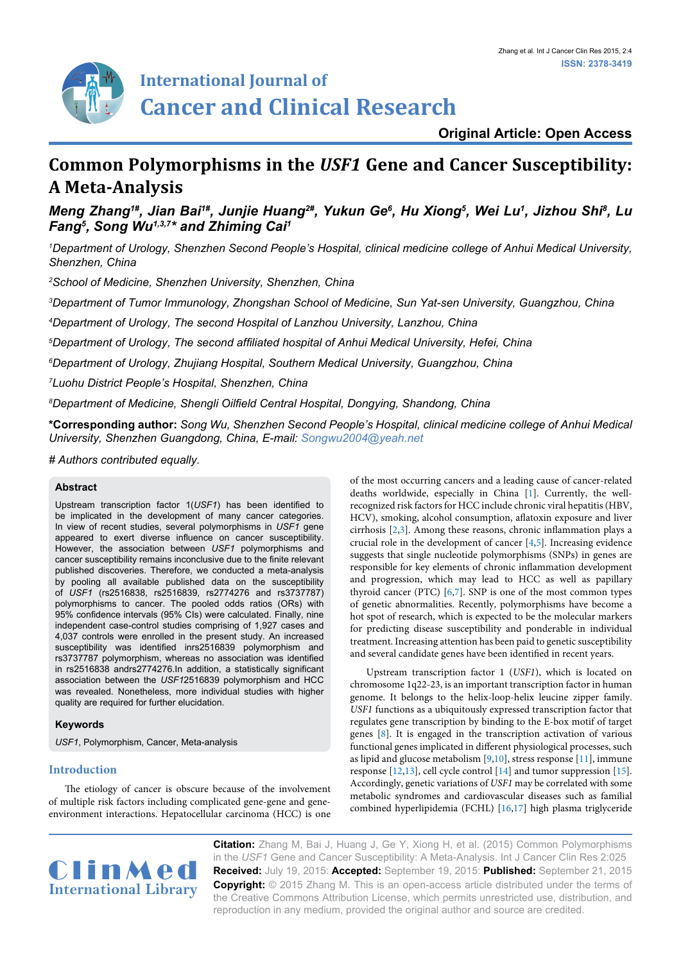

# **Original Article: Open Access**

# **Common Polymorphisms in the** *USF1* **Gene and Cancer Susceptibility: A Meta-Analysis**

Meng Zhang'#, Jian Bai'#, Junjie Huang<sup>2#</sup>, Yukun Ge<sup>6</sup>, Hu Xiong<sup>5</sup>, Wei Lu<sup>1</sup>, Jizhou Shi<sup>8</sup>, Lu *Fang5 , Song Wu1,3,7\* and Zhiming Cai1*

*1 Department of Urology, Shenzhen Second People's Hospital, clinical medicine college of Anhui Medical University, Shenzhen, China*

*2 School of Medicine, Shenzhen University, Shenzhen, China*

*3 Department of Tumor Immunology, Zhongshan School of Medicine, Sun Yat-sen University, Guangzhou, China*

*4 Department of Urology, The second Hospital of Lanzhou University, Lanzhou, China*

*5 Department of Urology, The second affiliated hospital of Anhui Medical University, Hefei, China*

*6 Department of Urology, Zhujiang Hospital, Southern Medical University, Guangzhou, China*

*7 Luohu District People's Hospital, Shenzhen, China*

*8 Department of Medicine, Shengli Oilfield Central Hospital, Dongying, Shandong, China*

**\*Corresponding author:** *Song Wu, Shenzhen Second People's Hospital, clinical medicine college of Anhui Medical University, Shenzhen Guangdong, China, E-mail: Songwu2004@yeah.net* 

*# Authors contributed equally.*

# **Abstract**

Upstream transcription factor 1(*USF1*) has been identified to be implicated in the development of many cancer categories. In view of recent studies, several polymorphisms in *USF1* gene appeared to exert diverse influence on cancer susceptibility. However, the association between *USF1* polymorphisms and cancer susceptibility remains inconclusive due to the finite relevant published discoveries. Therefore, we conducted a meta-analysis by pooling all available published data on the susceptibility of *USF1* (rs2516838, rs2516839, rs2774276 and rs3737787) polymorphisms to cancer. The pooled odds ratios (ORs) with 95% confidence intervals (95% CIs) were calculated. Finally, nine independent case-control studies comprising of 1,927 cases and 4,037 controls were enrolled in the present study. An increased susceptibility was identified inrs2516839 polymorphism and rs3737787 polymorphism, whereas no association was identified in rs2516838 andrs2774276.In addition, a statistically significant association between the *USF1*2516839 polymorphism and HCC was revealed. Nonetheless, more individual studies with higher quality are required for further elucidation.

# **Keywords**

*USF1*, Polymorphism, Cancer, Meta-analysis

# **Introduction**

The etiology of cancer is obscure because of the involvement of multiple risk factors including complicated gene-gene and geneenvironment interactions. Hepatocellular carcinoma (HCC) is one

of the most occurring cancers and a leading cause of cancer-related deaths worldwide, especially in China [[1](#page-4-0)]. Currently, the wellrecognized risk factors for HCC include chronic viral hepatitis (HBV, HCV), smoking, alcohol consumption, aflatoxin exposure and liver cirrhosis [\[2,](#page-4-1)[3\]](#page-4-2). Among these reasons, chronic inflammation plays a crucial role in the development of cancer [\[4,](#page-4-3)[5](#page-4-4)]. Increasing evidence suggests that single nucleotide polymorphisms (SNPs) in genes are responsible for key elements of chronic inflammation development and progression, which may lead to HCC as well as papillary thyroid cancer (PTC) [\[6](#page-4-5)[,7\]](#page-4-6). SNP is one of the most common types of genetic abnormalities. Recently, polymorphisms have become a hot spot of research, which is expected to be the molecular markers for predicting disease susceptibility and ponderable in individual treatment. Increasing attention has been paid to genetic susceptibility and several candidate genes have been identified in recent years.

Upstream transcription factor 1 (*USF1*), which is located on chromosome 1q22-23, is an important transcription factor in human genome. It belongs to the helix-loop-helix leucine zipper family. *USF1* functions as a ubiquitously expressed transcription factor that regulates gene transcription by binding to the E-box motif of target genes [\[8](#page-4-7)]. It is engaged in the transcription activation of various functional genes implicated in different physiological processes, such as lipid and glucose metabolism [[9,](#page-4-8)[10\]](#page-4-9), stress response [\[11](#page-4-10)], immune response [\[12,](#page-4-11)[13\]](#page-4-12), cell cycle control [[14](#page-4-13)] and tumor suppression [[15\]](#page-4-14). Accordingly, genetic variations of *USF1* may be correlated with some metabolic syndromes and cardiovascular diseases such as familial combined hyperlipidemia (FCHL) [\[16,](#page-4-15)[17\]](#page-4-16) high plasma triglyceride



**Citation:** Zhang M, Bai J, Huang J, Ge Y, Xiong H, et al. (2015) Common Polymorphisms in the *USF1* Gene and Cancer Susceptibility: A Meta-Analysis. Int J Cancer Clin Res 2:025 **Received:** July 19, 2015: **Accepted:** September 19, 2015: **Published:** September 21, 2015 **Copyright:** © 2015 Zhang M. This is an open-access article distributed under the terms of the Creative Commons Attribution License, which permits unrestricted use, distribution, and reproduction in any medium, provided the original author and source are credited.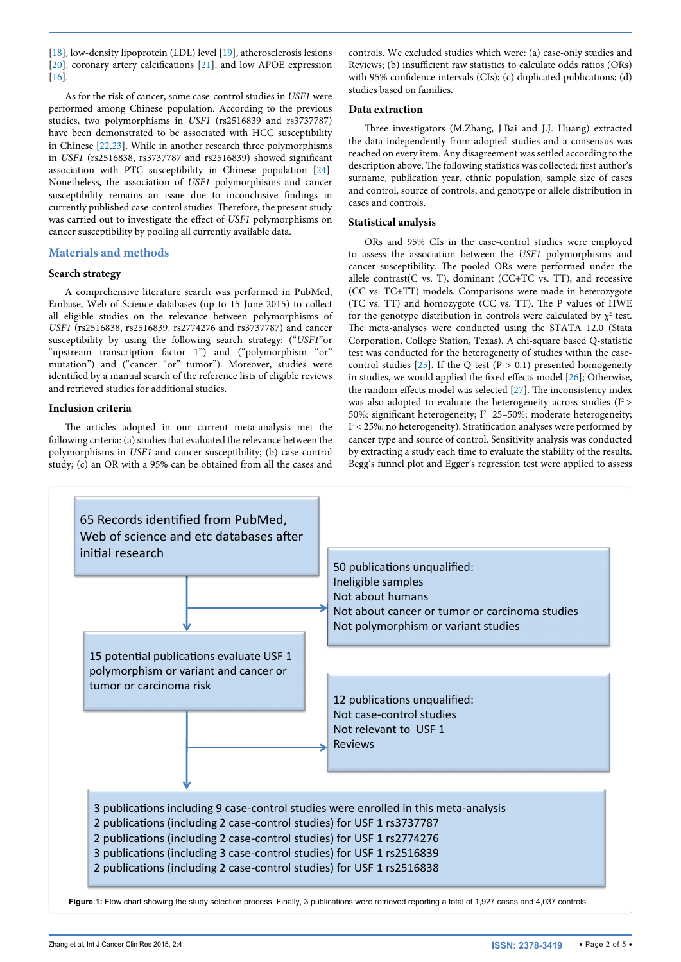[[18](#page-4-20)], low-density lipoprotein (LDL) level [[19](#page-4-21)], atherosclerosis lesions [[20](#page-4-22)], coronary artery calcifications [[21\]](#page-4-23), and low APOE expression [[16](#page-4-15)].

As for the risk of cancer, some case-control studies in *USF1* were performed among Chinese population. According to the previous studies, two polymorphisms in *USF1* (rs2516839 and rs3737787) have been demonstrated to be associated with HCC susceptibility in Chinese [\[22,](#page-4-24)[23\]](#page-4-25). While in another research three polymorphisms in *USF1* (rs2516838, rs3737787 and rs2516839) showed significant association with PTC susceptibility in Chinese population [[24](#page-4-26)]. Nonetheless, the association of *USF1* polymorphisms and cancer susceptibility remains an issue due to inconclusive findings in currently published case-control studies. Therefore, the present study was carried out to investigate the effect of *USF1* polymorphisms on cancer susceptibility by pooling all currently available data.

# **Materials and methods**

# **Search strategy**

A comprehensive literature search was performed in PubMed, Embase, Web of Science databases (up to 15 June 2015) to collect all eligible studies on the relevance between polymorphisms of *USF1* (rs2516838, rs2516839, rs2774276 and rs3737787) and cancer susceptibility by using the following search strategy: ("*USF1*"or "upstream transcription factor 1") and ("polymorphism "or" mutation") and ("cancer "or" tumor"). Moreover, studies were identified by a manual search of the reference lists of eligible reviews and retrieved studies for additional studies.

# **Inclusion criteria**

The articles adopted in our current meta-analysis met the following criteria: (a) studies that evaluated the relevance between the polymorphisms in *USF1* and cancer susceptibility; (b) case-control study; (c) an OR with a 95% can be obtained from all the cases and controls. We excluded studies which were: (a) case-only studies and Reviews; (b) insufficient raw statistics to calculate odds ratios (ORs) with 95% confidence intervals (CIs); (c) duplicated publications; (d) studies based on families.

#### **Data extraction**

Three investigators (M.Zhang, J.Bai and J.J. Huang) extracted the data independently from adopted studies and a consensus was reached on every item. Any disagreement was settled according to the description above. The following statistics was collected: first author's surname, publication year, ethnic population, sample size of cases and control, source of controls, and genotype or allele distribution in cases and controls.

# **Statistical analysis**

ORs and 95% CIs in the case-control studies were employed to assess the association between the *USF1* polymorphisms and cancer susceptibility. The pooled ORs were performed under the allele contrast(C vs. T), dominant (CC+TC vs. TT), and recessive (CC vs. TC+TT) models. Comparisons were made in heterozygote (TC vs. TT) and homozygote (CC vs. TT). The P values of HWE for the genotype distribution in controls were calculated by  $\chi^2$  test. The meta-analyses were conducted using the STATA 12.0 (Stata Corporation, College Station, Texas). A chi-square based Q-statistic test was conducted for the heterogeneity of studies within the case-control studies [\[25\]](#page-4-17). If the Q test (P > 0.1) presented homogeneity in studies, we would applied the fixed effects model [\[26](#page-4-18)]; Otherwise, the random effects model was selected [\[27\]](#page-4-19). The inconsistency index was also adopted to evaluate the heterogeneity across studies  $(I^2)$ 50%: significant heterogeneity;  $I^2 = 25 - 50$ %: moderate heterogeneity;  $I<sup>2</sup>$  < 25%: no heterogeneity). Stratification analyses were performed by cancer type and source of control. Sensitivity analysis was conducted by extracting a study each time to evaluate the stability of the results. Begg's funnel plot and Egger's regression test were applied to assess

<span id="page-1-0"></span>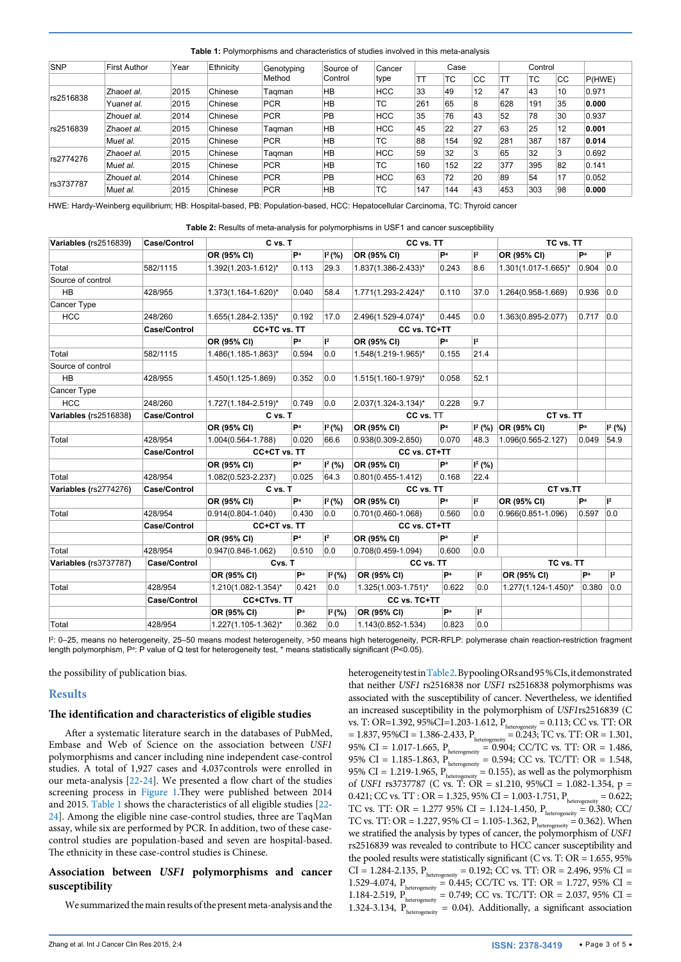<span id="page-2-0"></span>**Table 1:** Polymorphisms and characteristics of studies involved in this meta-analysis

| SNP       | <b>First Author</b> | Year | Ethnicity | Genotyping<br>Method | Source of<br>Control | Cancer<br>type | Case |     |    | Control |     |     |        |  |
|-----------|---------------------|------|-----------|----------------------|----------------------|----------------|------|-----|----|---------|-----|-----|--------|--|
|           |                     |      |           |                      |                      |                | ТT   | 'TC | CC | TT      | TC. | CC  | P(HWE) |  |
| rs2516838 | Zhaoet al.          | 2015 | Chinese   | Tagman               | <b>HB</b>            | <b>HCC</b>     | 33   | 49  | 12 | 147     | 43  | 10  | 0.971  |  |
|           | Yuan <i>et al.</i>  | 2015 | Chinese   | <b>PCR</b>           | <b>HB</b>            | TC             | 261  | 65  | 8  | 628     | 191 | 35  | 0.000  |  |
| rs2516839 | Zhouet al.          | 2014 | Chinese   | <b>PCR</b>           | PB                   | <b>HCC</b>     | 35   | 76  | 43 | 52      | 78  | 30  | 0.937  |  |
|           | Zhaoet al.          | 2015 | Chinese   | Tagman               | <b>HB</b>            | <b>HCC</b>     | 45   | 22  | 27 | 63      | 25  | 12  | 0.001  |  |
|           | Muet al.            | 2015 | Chinese   | <b>PCR</b>           | <b>HB</b>            | TC             | 88   | 154 | 92 | 281     | 387 | 187 | 0.014  |  |
| rs2774276 | Zhaoet al.          | 2015 | Chinese   | Tagman               | <b>HB</b>            | <b>HCC</b>     | 59   | 32  | 3  | 65      | 32  | 3   | 0.692  |  |
|           | Muet al.            | 2015 | Chinese   | <b>PCR</b>           | <b>HB</b>            | TC             | 160  | 152 | 22 | 377     | 395 | 82  | 0.141  |  |
| rs3737787 | Zhouet al.          | 2014 | Chinese   | <b>PCR</b>           | PB                   | <b>HCC</b>     | 63   | 72  | 20 | 89      | 54  | 17  | 0.052  |  |
|           | Muet al.            | 2015 | Chinese   | <b>PCR</b>           | <b>HB</b>            | TC             | 147  | 144 | 43 | 453     | 303 | 98  | 0.000  |  |

HWE: Hardy-Weinberg equilibrium; HB: Hospital-based, PB: Population-based, HCC: Hepatocellular Carcinoma, TC: Thyroid cancer

<span id="page-2-1"></span>**Table 2:** Results of meta-analysis for polymorphisms in USF1 and cancer susceptibility

| Variables (rs2516839)        | Case/Control        | C vs. T                |                |                     | CC vs. TT              | TC vs. TT |              |                            |       |                |  |
|------------------------------|---------------------|------------------------|----------------|---------------------|------------------------|-----------|--------------|----------------------------|-------|----------------|--|
|                              |                     | OR (95% CI)            | Pa             | I <sup>2</sup> (% ) | OR (95% CI)            | Pa        | $ ^{2}$      | OR (95% CI)                | Pa    | $\mathsf{I}^2$ |  |
| Total                        | 582/1115            | 1.392(1.203-1.612)*    | 0.113          | 29.3                | 1.837(1.386-2.433)*    | 0.243     | 8.6          | 1.301(1.017-1.665)*        | 0.904 | 0.0            |  |
| Source of control            |                     |                        |                |                     |                        |           |              |                            |       |                |  |
| <b>HB</b>                    | 428/955             | 1.373(1.164-1.620)*    | 0.040          | 58.4                | 1.771(1.293-2.424)*    | 0.110     | 37.0         | 1.264(0.958-1.669)         | 0.936 | 0.0            |  |
| Cancer Type                  |                     |                        |                |                     |                        |           |              |                            |       |                |  |
| <b>HCC</b>                   | 248/260             | 1.655(1.284-2.135)*    | 0.192          | 17.0                | 2.496(1.529-4.074)*    | 0.445     | 0.0          | 1.363(0.895-2.077)         | 0.717 | 0.0            |  |
|                              | <b>Case/Control</b> | CC+TC vs. TT           |                |                     | CC vs. TC+TT           |           |              |                            |       |                |  |
|                              |                     | OR (95% CI)            | Pa             | $\mathsf{I}^2$      | OR (95% CI)            | Pa        | $ ^{2}$      |                            |       |                |  |
| Total                        | 582/1115            | 1.486(1.185-1.863)*    | 0.594          | 0.0                 | 1.548(1.219-1.965)*    | 0.155     | 21.4         |                            |       |                |  |
| Source of control            |                     |                        |                |                     |                        |           |              |                            |       |                |  |
| <b>HB</b>                    | 428/955             | 1.450(1.125-1.869)     | 0.352          | 0.0                 | 1.515(1.160-1.979)*    | 0.058     | 52.1         |                            |       |                |  |
| Cancer Type                  |                     |                        |                |                     |                        |           |              |                            |       |                |  |
| <b>HCC</b>                   | 248/260             | 1.727(1.184-2.519)*    | 0.749          | 0.0                 | 2.037(1.324-3.134)*    | 0.228     | 9.7          |                            |       |                |  |
| Variables (rs2516838)        | Case/Control        | C vs. T                |                |                     | CC vs. TT              |           |              | CT vs. TT                  |       |                |  |
|                              |                     | OR (95% CI)            | Pa             | I <sup>2</sup> (% ) | OR (95% CI)            | Pa        |              | $ I^2(Y_0) $ OR (95% CI)   | Pa    | $I2$ (%)       |  |
| Total                        | 428/954             | $1.004(0.564 - 1.788)$ | 0.020          | 66.6                | $0.938(0.309 - 2.850)$ | 0.070     | 48.3         | 1.096(0.565-2.127)         | 0.049 | 54.9           |  |
|                              | Case/Control        | CC+CT vs. TT           |                |                     | CC vs. CT+TT           |           |              |                            |       |                |  |
|                              |                     | OR (95% CI)            | P <sup>a</sup> | $I^2(% )$           | OR (95% CI)            | Pa        | $1^2$ (%)    |                            |       |                |  |
| Total                        | 428/954             | 1.082(0.523-2.237)     | 0.025          | 64.3                | $0.801(0.455 - 1.412)$ | 0.168     | 22.4         |                            |       |                |  |
| <b>Variables (rs2774276)</b> | Case/Control        | C vs. T                |                |                     | CC vs. TT              |           |              | CT vs.TT                   |       |                |  |
|                              |                     | OR (95% CI)            | Pa             | $I2(\%)$            | OR (95% CI)            | Pa        | $ ^{2}$      | OR (95% CI)                | Pa    | $\mathsf{I}^2$ |  |
| Total                        | 428/954             | $0.914(0.804 - 1.040)$ | 0.430          | 0.0                 | 0.701(0.460-1.068)     | 0.560     | 0.0          | $0.966(0.851 - 1.096)$     | 0.597 | 0.0            |  |
|                              | Case/Control        | CC+CT vs. TT           |                | CC vs. CT+TT        |                        |           |              |                            |       |                |  |
|                              |                     | OR (95% CI)            | Pa             | $\mathsf{I}^2$      | OR (95% CI)            | Pa        | $ 12\rangle$ |                            |       |                |  |
| Total                        | 428/954             | $0.947(0.846 - 1.062)$ | 0.510          | 0.0                 | 0.708(0.459-1.094)     | 0.600     | 0.0          |                            |       |                |  |
| <b>Variables (rs3737787)</b> | <b>Case/Control</b> | Cvs. T                 |                | CC vs. TT           |                        |           | TC vs. TT    |                            |       |                |  |
|                              |                     | OR (95% CI)            | Pa             | $I^2$ (%)           | OR (95% CI)            | Pa        | $ 1^2$       | OR (95% CI)                | Pa    | $\mathsf{I}^2$ |  |
| Total                        | 428/954             | 1.210(1.082-1.354)*    | 0.421          | 0.0                 | 1.325(1.003-1.751)*    | 0.622     | 0.0          | $1.277(1.124 - 1.450)^{*}$ | 0.380 | 0.0            |  |
|                              | <b>Case/Control</b> | CC+CTvs. TT            |                | CC vs. TC+TT        |                        |           |              |                            |       |                |  |
|                              |                     | OR (95% CI)            | Pa             | $I2(\%)$            | OR (95% CI)            | Pa        | $ 1^2$       |                            |       |                |  |
| Total                        | 428/954             | 1.227(1.105-1.362)*    | 0.362          | 0.0                 | 1.143(0.852-1.534)     | 0.823     | 0.0          |                            |       |                |  |

I 2 : 0–25, means no heterogeneity, 25–50 means modest heterogeneity, >50 means high heterogeneity, PCR-RFLP: polymerase chain reaction-restriction fragment length polymorphism, Pª: P value of Q test for heterogeneity test, \* means statistically significant (P<0.05).

the possibility of publication bias.

# **Results**

#### **The identification and characteristics of eligible studies**

After a systematic literature search in the databases of PubMed, Embase and Web of Science on the association between *USF1*  polymorphisms and cancer including nine independent case-control studies. A total of 1,927 cases and 4,037controls were enrolled in our meta-analysis [\[22-](#page-4-24)[24\]](#page-4-26). We presented a flow chart of the studies screening process in [Figure 1](#page-1-0).They were published between 2014 and 2015. [Table 1](#page-2-0) shows the characteristics of all eligible studies [[22](#page-4-24)- [24](#page-4-26)]. Among the eligible nine case-control studies, three are TaqMan assay, while six are performed by PCR. In addition, two of these casecontrol studies are population-based and seven are hospital-based. The ethnicity in these case-control studies is Chinese.

# **Association between** *USF1* **polymorphisms and cancer susceptibility**

We summarized the main results of the present meta-analysis and the

heterogeneity test in [Table 2.](#page-2-1) By pooling ORs and 95 % CIs, it demonstrated that neither *USF1* rs2516838 nor *USF1* rs2516838 polymorphisms was associated with the susceptibility of cancer. Nevertheless, we identified an increased susceptibility in the polymorphism of *USF1*rs2516839 (C vs. T: OR=1.392, 95%CI=1.203-1.612,  $P_{heterogeneity} = 0.113$ ; CC vs. TT: OR  $= 1.837, 95\% \text{CI} = 1.386 - 2.433, P_{\text{heterogeneity}} = 0.243; \text{TC vs. TT: OR} = 1.301,$ 95% CI = 1.017-1.665,  $P_{heterogeneity} = 0.904$ ; CC/TC vs. TT: OR = 1.486, 95% CI = 1.185-1.863,  $P_{heterogeneity} = 0.594$ ; CC vs. TC/TT: OR = 1.548, 95% CI = 1.219-1.965,  $P_{heterogeneity} = 0.155$ ), as well as the polymorphism of *USF1* rs3737787 (C vs. T: OR = s1.210, 95%CI = 1.082-1.354, p = 0.421; CC vs. TT : OR = 1.325, 95% CI = 1.003-1.751,  $P_{heterogeneity} = 0.622$ ; TC vs. TT: OR = 1.277 95% CI = 1.124-1.450,  $P_{heterogeneity} = 0.380$ ; CC/ TC vs. TT: OR = 1.227, 95% CI = 1.105-1.362,  $P_{heterogeneity} = 0.362$ ). When we stratified the analysis by types of cancer, the polymorphism of *USF1* rs2516839 was revealed to contribute to HCC cancer susceptibility and the pooled results were statistically significant (C vs. T:  $OR = 1.655$ , 95% CI = 1.284-2.135,  $P_{heterogeneity} = 0.192$ ; CC vs. TT: OR = 2.496, 95% CI = 1.529-4.074,  $P_{heterogeneity} = 0.445$ ; CC/TC vs. TT: OR = 1.727, 95% CI = 1.184-2.519,  $P_{heterogeneity} = 0.749$ ; CC vs. TC/TT: OR = 2.037, 95% CI = 1.324-3.134,  $P_{heterogeneity} = 0.04$ ). Additionally, a significant association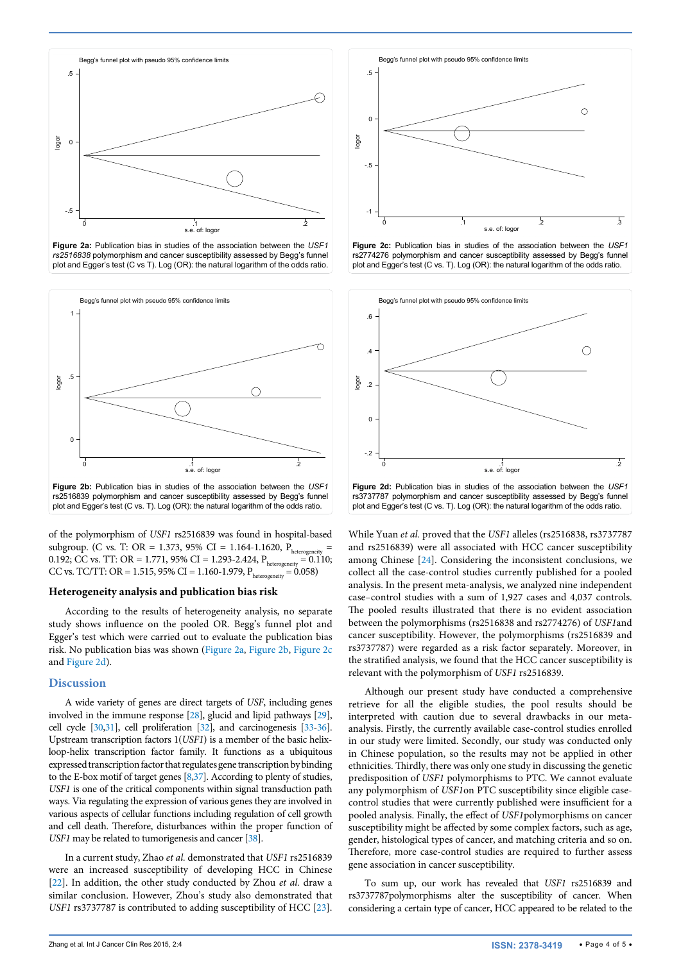<span id="page-3-0"></span>

**Figure 2a:** Publication bias in studies of the association between the *USF1 rs2516838* polymorphism and cancer susceptibility assessed by Begg's funnel plot and Egger's test (C vs T). Log (OR): the natural logarithm of the odds ratio.

<span id="page-3-1"></span>

of the polymorphism of *USF1* rs2516839 was found in hospital-based subgroup. (C vs. T: OR = 1.373, 95% CI = 1.164-1.1620, P<sub>heterogeneity</sub> = 0.192; CC vs. TT: OR = 1.771, 95% CI = 1.293-2.424,  $P_{heterogeneity} = 0.110$ ; CC vs. TC/TT: OR = 1.515, 95% CI = 1.160-1.979,  $P_{heterogeneity} = 0.058$ )

#### **Heterogeneity analysis and publication bias risk**

According to the results of heterogeneity analysis, no separate study shows influence on the pooled OR. Begg's funnel plot and Egger's test which were carried out to evaluate the publication bias risk. No publication bias was shown [\(Figure 2a](#page-3-0), [Figure 2b](#page-3-1), [Figure 2c](#page-3-2) and [Figure 2d\)](#page-3-3).

#### **Discussion**

A wide variety of genes are direct targets of *USF*, including genes involved in the immune response [\[28](#page-4-27)], glucid and lipid pathways [\[29\]](#page-4-28), cell cycle [\[30](#page-4-29)[,31](#page-4-30)], cell proliferation [\[32](#page-4-31)], and carcinogenesis [\[33](#page-4-32)[-36\]](#page-4-33). Upstream transcription factors 1(*USF1*) is a member of the basic helixloop-helix transcription factor family. It functions as a ubiquitous expressed transcription factor that regulates gene transcription by binding to the E-box motif of target genes [\[8](#page-4-7)[,37\]](#page-4-34). According to plenty of studies, *USF1* is one of the critical components within signal transduction path ways. Via regulating the expression of various genes they are involved in various aspects of cellular functions including regulation of cell growth and cell death. Therefore, disturbances within the proper function of *USF1* may be related to tumorigenesis and cancer [\[38](#page-4-35)].

In a current study, Zhao *et al.* demonstrated that *USF1* rs2516839 were an increased susceptibility of developing HCC in Chinese [[22](#page-4-24)]. In addition, the other study conducted by Zhou *et al.* draw a similar conclusion. However, Zhou's study also demonstrated that *USF1* rs3737787 is contributed to adding susceptibility of HCC [[23](#page-4-25)].

<span id="page-3-2"></span>

**Figure 2c:** Publication bias in studies of the association between the *USF1*  rs2774276 polymorphism and cancer susceptibility assessed by Begg's funnel plot and Egger's test (C vs. T). Log (OR): the natural logarithm of the odds ratio.

<span id="page-3-3"></span>

While Yuan *et al.* proved that the *USF1* alleles (rs2516838, rs3737787 and rs2516839) were all associated with HCC cancer susceptibility among Chinese [\[24\]](#page-4-26). Considering the inconsistent conclusions, we collect all the case-control studies currently published for a pooled analysis. In the present meta-analysis, we analyzed nine independent case–control studies with a sum of 1,927 cases and 4,037 controls. The pooled results illustrated that there is no evident association between the polymorphisms (rs2516838 and rs2774276) of *USF1*and cancer susceptibility. However, the polymorphisms (rs2516839 and rs3737787) were regarded as a risk factor separately. Moreover, in the stratified analysis, we found that the HCC cancer susceptibility is relevant with the polymorphism of *USF1* rs2516839.

Although our present study have conducted a comprehensive retrieve for all the eligible studies, the pool results should be interpreted with caution due to several drawbacks in our metaanalysis. Firstly, the currently available case-control studies enrolled in our study were limited. Secondly, our study was conducted only in Chinese population, so the results may not be applied in other ethnicities. Thirdly, there was only one study in discussing the genetic predisposition of *USF1* polymorphisms to PTC. We cannot evaluate any polymorphism of *USF1*on PTC susceptibility since eligible casecontrol studies that were currently published were insufficient for a pooled analysis. Finally, the effect of *USF1*polymorphisms on cancer susceptibility might be affected by some complex factors, such as age, gender, histological types of cancer, and matching criteria and so on. Therefore, more case-control studies are required to further assess gene association in cancer susceptibility.

To sum up, our work has revealed that *USF1* rs2516839 and rs3737787polymorphisms alter the susceptibility of cancer. When considering a certain type of cancer, HCC appeared to be related to the